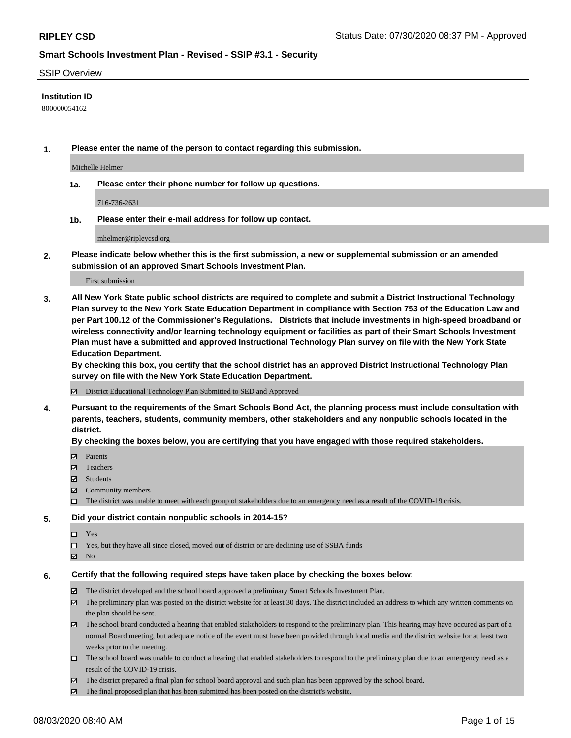#### SSIP Overview

### **Institution ID**

800000054162

**1. Please enter the name of the person to contact regarding this submission.**

Michelle Helmer

**1a. Please enter their phone number for follow up questions.**

716-736-2631

**1b. Please enter their e-mail address for follow up contact.**

mhelmer@ripleycsd.org

**2. Please indicate below whether this is the first submission, a new or supplemental submission or an amended submission of an approved Smart Schools Investment Plan.**

#### First submission

**3. All New York State public school districts are required to complete and submit a District Instructional Technology Plan survey to the New York State Education Department in compliance with Section 753 of the Education Law and per Part 100.12 of the Commissioner's Regulations. Districts that include investments in high-speed broadband or wireless connectivity and/or learning technology equipment or facilities as part of their Smart Schools Investment Plan must have a submitted and approved Instructional Technology Plan survey on file with the New York State Education Department.** 

**By checking this box, you certify that the school district has an approved District Instructional Technology Plan survey on file with the New York State Education Department.**

District Educational Technology Plan Submitted to SED and Approved

**4. Pursuant to the requirements of the Smart Schools Bond Act, the planning process must include consultation with parents, teachers, students, community members, other stakeholders and any nonpublic schools located in the district.** 

#### **By checking the boxes below, you are certifying that you have engaged with those required stakeholders.**

- **□** Parents
- Teachers
- Students
- $\boxtimes$  Community members
- The district was unable to meet with each group of stakeholders due to an emergency need as a result of the COVID-19 crisis.

#### **5. Did your district contain nonpublic schools in 2014-15?**

- $\neg$  Yes
- Yes, but they have all since closed, moved out of district or are declining use of SSBA funds
- **Z** No

#### **6. Certify that the following required steps have taken place by checking the boxes below:**

- The district developed and the school board approved a preliminary Smart Schools Investment Plan.
- $\boxtimes$  The preliminary plan was posted on the district website for at least 30 days. The district included an address to which any written comments on the plan should be sent.
- $\boxtimes$  The school board conducted a hearing that enabled stakeholders to respond to the preliminary plan. This hearing may have occured as part of a normal Board meeting, but adequate notice of the event must have been provided through local media and the district website for at least two weeks prior to the meeting.
- The school board was unable to conduct a hearing that enabled stakeholders to respond to the preliminary plan due to an emergency need as a result of the COVID-19 crisis.
- The district prepared a final plan for school board approval and such plan has been approved by the school board.
- $\boxtimes$  The final proposed plan that has been submitted has been posted on the district's website.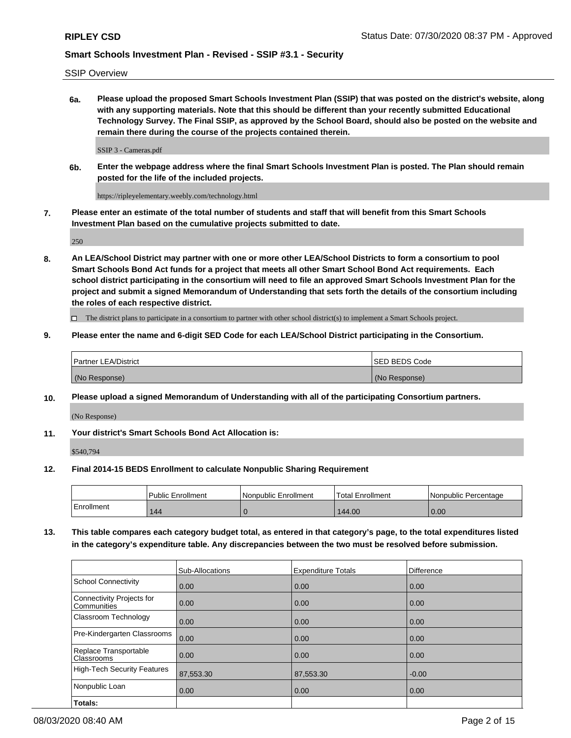SSIP Overview

**6a. Please upload the proposed Smart Schools Investment Plan (SSIP) that was posted on the district's website, along with any supporting materials. Note that this should be different than your recently submitted Educational Technology Survey. The Final SSIP, as approved by the School Board, should also be posted on the website and remain there during the course of the projects contained therein.**

SSIP 3 - Cameras.pdf

**6b. Enter the webpage address where the final Smart Schools Investment Plan is posted. The Plan should remain posted for the life of the included projects.**

https://ripleyelementary.weebly.com/technology.html

**7. Please enter an estimate of the total number of students and staff that will benefit from this Smart Schools Investment Plan based on the cumulative projects submitted to date.**

250

**8. An LEA/School District may partner with one or more other LEA/School Districts to form a consortium to pool Smart Schools Bond Act funds for a project that meets all other Smart School Bond Act requirements. Each school district participating in the consortium will need to file an approved Smart Schools Investment Plan for the project and submit a signed Memorandum of Understanding that sets forth the details of the consortium including the roles of each respective district.**

 $\Box$  The district plans to participate in a consortium to partner with other school district(s) to implement a Smart Schools project.

### **9. Please enter the name and 6-digit SED Code for each LEA/School District participating in the Consortium.**

| Partner LEA/District | <b>ISED BEDS Code</b> |
|----------------------|-----------------------|
| (No Response)        | (No Response)         |

### **10. Please upload a signed Memorandum of Understanding with all of the participating Consortium partners.**

(No Response)

**11. Your district's Smart Schools Bond Act Allocation is:**

\$540,794

#### **12. Final 2014-15 BEDS Enrollment to calculate Nonpublic Sharing Requirement**

|            | <b>Public Enrollment</b> | Nonpublic Enrollment | <b>Total Enrollment</b> | l Nonpublic Percentage |
|------------|--------------------------|----------------------|-------------------------|------------------------|
| Enrollment | 144                      |                      | 144.00                  | 0.00                   |

**13. This table compares each category budget total, as entered in that category's page, to the total expenditures listed in the category's expenditure table. Any discrepancies between the two must be resolved before submission.**

|                                          | Sub-Allocations | <b>Expenditure Totals</b> | <b>Difference</b> |
|------------------------------------------|-----------------|---------------------------|-------------------|
| <b>School Connectivity</b>               | 0.00            | 0.00                      | 0.00              |
| Connectivity Projects for<br>Communities | 0.00            | 0.00                      | 0.00              |
| Classroom Technology                     | 0.00            | 0.00                      | 0.00              |
| Pre-Kindergarten Classrooms              | 0.00            | 0.00                      | 0.00              |
| Replace Transportable<br>Classrooms      | 0.00            | 0.00                      | 0.00              |
| High-Tech Security Features              | 87,553.30       | 87,553.30                 | $-0.00$           |
| Nonpublic Loan                           | 0.00            | 0.00                      | 0.00              |
| Totals:                                  |                 |                           |                   |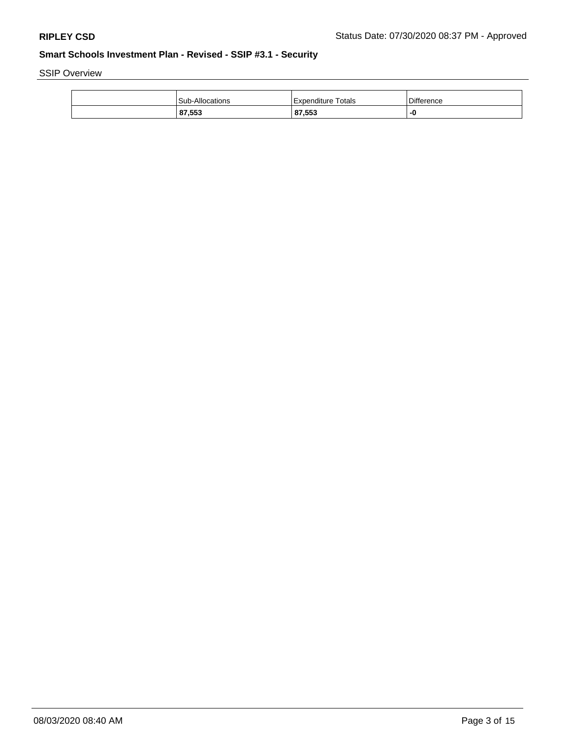SSIP Overview

| Sub-Allocations | Totals<br>l Expenditure | Difference |
|-----------------|-------------------------|------------|
| 87,553          | 87,553                  |            |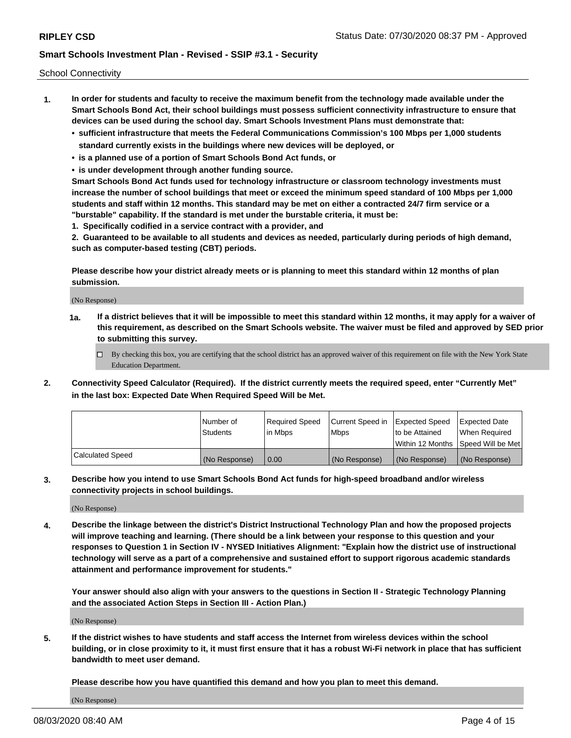School Connectivity

- **1. In order for students and faculty to receive the maximum benefit from the technology made available under the Smart Schools Bond Act, their school buildings must possess sufficient connectivity infrastructure to ensure that devices can be used during the school day. Smart Schools Investment Plans must demonstrate that:**
	- **• sufficient infrastructure that meets the Federal Communications Commission's 100 Mbps per 1,000 students standard currently exists in the buildings where new devices will be deployed, or**
	- **• is a planned use of a portion of Smart Schools Bond Act funds, or**
	- **• is under development through another funding source.**

**Smart Schools Bond Act funds used for technology infrastructure or classroom technology investments must increase the number of school buildings that meet or exceed the minimum speed standard of 100 Mbps per 1,000 students and staff within 12 months. This standard may be met on either a contracted 24/7 firm service or a "burstable" capability. If the standard is met under the burstable criteria, it must be:**

**1. Specifically codified in a service contract with a provider, and**

**2. Guaranteed to be available to all students and devices as needed, particularly during periods of high demand, such as computer-based testing (CBT) periods.**

**Please describe how your district already meets or is planning to meet this standard within 12 months of plan submission.**

(No Response)

**1a. If a district believes that it will be impossible to meet this standard within 12 months, it may apply for a waiver of this requirement, as described on the Smart Schools website. The waiver must be filed and approved by SED prior to submitting this survey.**

 $\Box$  By checking this box, you are certifying that the school district has an approved waiver of this requirement on file with the New York State Education Department.

**2. Connectivity Speed Calculator (Required). If the district currently meets the required speed, enter "Currently Met" in the last box: Expected Date When Required Speed Will be Met.**

|                  | l Number of     | Required Speed | Current Speed in | Expected Speed  | Expected Date                           |
|------------------|-----------------|----------------|------------------|-----------------|-----------------------------------------|
|                  | <b>Students</b> | In Mbps        | l Mbps           | to be Attained  | When Required                           |
|                  |                 |                |                  |                 | l Within 12 Months ISpeed Will be Met l |
| Calculated Speed | (No Response)   | 0.00           | (No Response)    | l (No Response) | l (No Response)                         |

**3. Describe how you intend to use Smart Schools Bond Act funds for high-speed broadband and/or wireless connectivity projects in school buildings.**

(No Response)

**4. Describe the linkage between the district's District Instructional Technology Plan and how the proposed projects will improve teaching and learning. (There should be a link between your response to this question and your responses to Question 1 in Section IV - NYSED Initiatives Alignment: "Explain how the district use of instructional technology will serve as a part of a comprehensive and sustained effort to support rigorous academic standards attainment and performance improvement for students."** 

**Your answer should also align with your answers to the questions in Section II - Strategic Technology Planning and the associated Action Steps in Section III - Action Plan.)**

(No Response)

**5. If the district wishes to have students and staff access the Internet from wireless devices within the school building, or in close proximity to it, it must first ensure that it has a robust Wi-Fi network in place that has sufficient bandwidth to meet user demand.**

**Please describe how you have quantified this demand and how you plan to meet this demand.**

(No Response)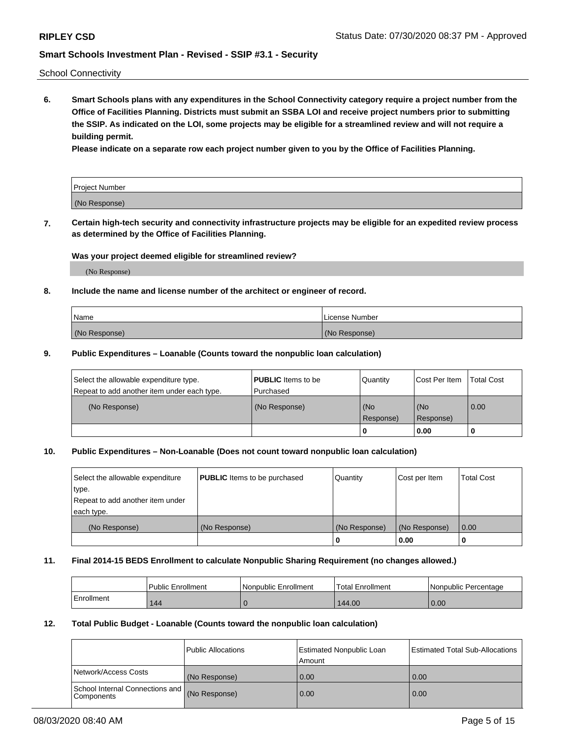School Connectivity

**6. Smart Schools plans with any expenditures in the School Connectivity category require a project number from the Office of Facilities Planning. Districts must submit an SSBA LOI and receive project numbers prior to submitting the SSIP. As indicated on the LOI, some projects may be eligible for a streamlined review and will not require a building permit.**

**Please indicate on a separate row each project number given to you by the Office of Facilities Planning.**

| Project Number |  |
|----------------|--|
| (No Response)  |  |

**7. Certain high-tech security and connectivity infrastructure projects may be eligible for an expedited review process as determined by the Office of Facilities Planning.**

### **Was your project deemed eligible for streamlined review?**

(No Response)

### **8. Include the name and license number of the architect or engineer of record.**

| Name          | License Number |
|---------------|----------------|
| (No Response) | (No Response)  |

### **9. Public Expenditures – Loanable (Counts toward the nonpublic loan calculation)**

| Select the allowable expenditure type.<br>Repeat to add another item under each type. | <b>PUBLIC</b> Items to be<br>l Purchased | Quantity         | l Cost Per Item  | <b>Total Cost</b> |
|---------------------------------------------------------------------------------------|------------------------------------------|------------------|------------------|-------------------|
| (No Response)                                                                         | (No Response)                            | (No<br>Response) | (No<br>Response) | 0.00              |
|                                                                                       |                                          | 0                | 0.00             |                   |

### **10. Public Expenditures – Non-Loanable (Does not count toward nonpublic loan calculation)**

| Select the allowable expenditure<br>type.<br>Repeat to add another item under<br>each type. | <b>PUBLIC</b> Items to be purchased | Quantity      | Cost per Item | <b>Total Cost</b> |
|---------------------------------------------------------------------------------------------|-------------------------------------|---------------|---------------|-------------------|
| (No Response)                                                                               | (No Response)                       | (No Response) | (No Response) | 0.00              |
|                                                                                             |                                     |               | 0.00          |                   |

#### **11. Final 2014-15 BEDS Enrollment to calculate Nonpublic Sharing Requirement (no changes allowed.)**

|            | Public Enrollment | Nonpublic Enrollment | 'Total Enrollment | l Nonpublic Percentage |
|------------|-------------------|----------------------|-------------------|------------------------|
| Enrollment | 144               |                      | 144.00            | 0.00                   |

#### **12. Total Public Budget - Loanable (Counts toward the nonpublic loan calculation)**

|                                               | Public Allocations | <b>Estimated Nonpublic Loan</b><br>Amount | Estimated Total Sub-Allocations |
|-----------------------------------------------|--------------------|-------------------------------------------|---------------------------------|
| Network/Access Costs                          | (No Response)      | 0.00                                      | 0.00                            |
| School Internal Connections and<br>Components | (No Response)      | 0.00                                      | 0.00                            |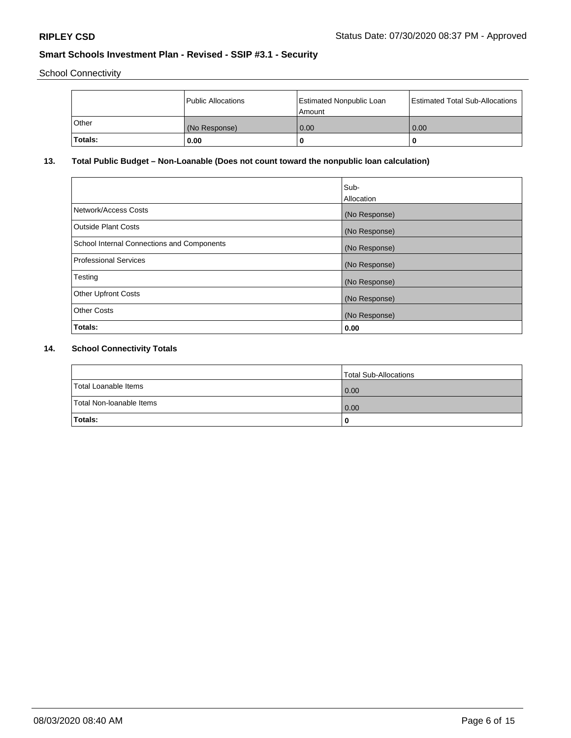School Connectivity

|         | Public Allocations | <b>Estimated Nonpublic Loan</b><br>Amount | <b>Estimated Total Sub-Allocations</b> |
|---------|--------------------|-------------------------------------------|----------------------------------------|
| l Other | (No Response)      | 0.00                                      | 0.00                                   |
| Totals: | 0.00               | 0                                         |                                        |

# **13. Total Public Budget – Non-Loanable (Does not count toward the nonpublic loan calculation)**

| Sub-<br>Allocation |
|--------------------|
| (No Response)      |
| (No Response)      |
| (No Response)      |
| (No Response)      |
| (No Response)      |
| (No Response)      |
| (No Response)      |
| 0.00               |
|                    |

# **14. School Connectivity Totals**

|                          | Total Sub-Allocations |
|--------------------------|-----------------------|
| Total Loanable Items     | 0.00                  |
| Total Non-Ioanable Items | 0.00                  |
| Totals:                  | 0                     |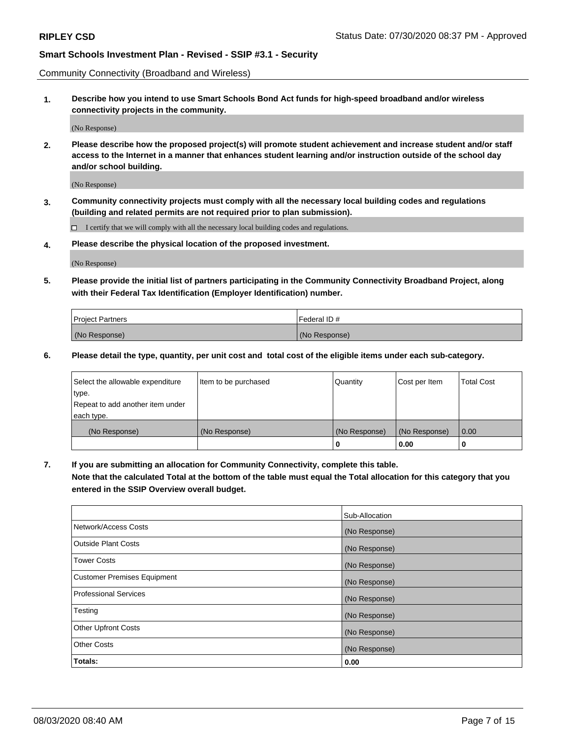Community Connectivity (Broadband and Wireless)

**1. Describe how you intend to use Smart Schools Bond Act funds for high-speed broadband and/or wireless connectivity projects in the community.**

(No Response)

**2. Please describe how the proposed project(s) will promote student achievement and increase student and/or staff access to the Internet in a manner that enhances student learning and/or instruction outside of the school day and/or school building.**

(No Response)

**3. Community connectivity projects must comply with all the necessary local building codes and regulations (building and related permits are not required prior to plan submission).**

 $\Box$  I certify that we will comply with all the necessary local building codes and regulations.

**4. Please describe the physical location of the proposed investment.**

(No Response)

**5. Please provide the initial list of partners participating in the Community Connectivity Broadband Project, along with their Federal Tax Identification (Employer Identification) number.**

| <b>Project Partners</b> | l Federal ID # |
|-------------------------|----------------|
| (No Response)           | (No Response)  |

**6. Please detail the type, quantity, per unit cost and total cost of the eligible items under each sub-category.**

| Select the allowable expenditure | Item to be purchased | Quantity      | Cost per Item | <b>Total Cost</b> |
|----------------------------------|----------------------|---------------|---------------|-------------------|
| type.                            |                      |               |               |                   |
| Repeat to add another item under |                      |               |               |                   |
| each type.                       |                      |               |               |                   |
| (No Response)                    | (No Response)        | (No Response) | (No Response) | 0.00              |
|                                  |                      | o             | 0.00          |                   |

**7. If you are submitting an allocation for Community Connectivity, complete this table.**

**Note that the calculated Total at the bottom of the table must equal the Total allocation for this category that you entered in the SSIP Overview overall budget.**

|                                    | Sub-Allocation |
|------------------------------------|----------------|
| Network/Access Costs               | (No Response)  |
| Outside Plant Costs                | (No Response)  |
| <b>Tower Costs</b>                 | (No Response)  |
| <b>Customer Premises Equipment</b> | (No Response)  |
| <b>Professional Services</b>       | (No Response)  |
| Testing                            | (No Response)  |
| <b>Other Upfront Costs</b>         | (No Response)  |
| <b>Other Costs</b>                 | (No Response)  |
| Totals:                            | 0.00           |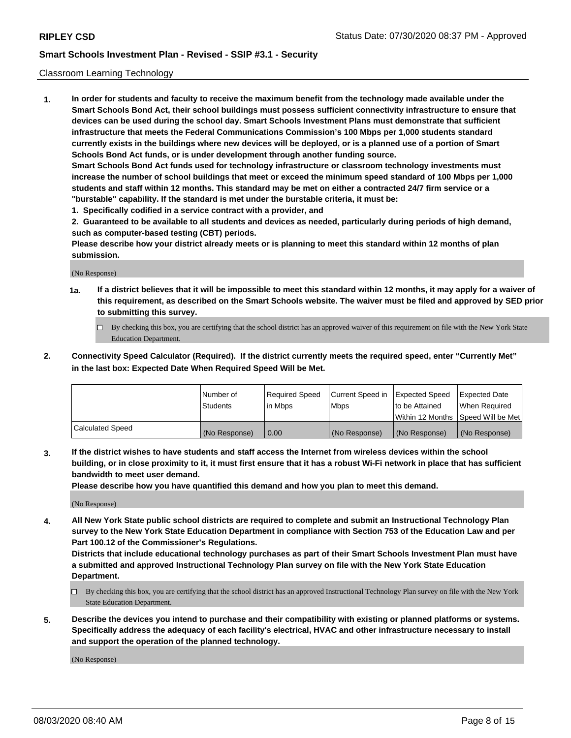### Classroom Learning Technology

**1. In order for students and faculty to receive the maximum benefit from the technology made available under the Smart Schools Bond Act, their school buildings must possess sufficient connectivity infrastructure to ensure that devices can be used during the school day. Smart Schools Investment Plans must demonstrate that sufficient infrastructure that meets the Federal Communications Commission's 100 Mbps per 1,000 students standard currently exists in the buildings where new devices will be deployed, or is a planned use of a portion of Smart Schools Bond Act funds, or is under development through another funding source. Smart Schools Bond Act funds used for technology infrastructure or classroom technology investments must increase the number of school buildings that meet or exceed the minimum speed standard of 100 Mbps per 1,000 students and staff within 12 months. This standard may be met on either a contracted 24/7 firm service or a**

- **"burstable" capability. If the standard is met under the burstable criteria, it must be:**
- **1. Specifically codified in a service contract with a provider, and**

**2. Guaranteed to be available to all students and devices as needed, particularly during periods of high demand, such as computer-based testing (CBT) periods.**

**Please describe how your district already meets or is planning to meet this standard within 12 months of plan submission.**

(No Response)

- **1a. If a district believes that it will be impossible to meet this standard within 12 months, it may apply for a waiver of this requirement, as described on the Smart Schools website. The waiver must be filed and approved by SED prior to submitting this survey.**
	- By checking this box, you are certifying that the school district has an approved waiver of this requirement on file with the New York State Education Department.
- **2. Connectivity Speed Calculator (Required). If the district currently meets the required speed, enter "Currently Met" in the last box: Expected Date When Required Speed Will be Met.**

|                  | l Number of     | Required Speed | Current Speed in | <b>Expected Speed</b> | <b>Expected Date</b>                |
|------------------|-----------------|----------------|------------------|-----------------------|-------------------------------------|
|                  | <b>Students</b> | l in Mbps      | l Mbps           | to be Attained        | When Required                       |
|                  |                 |                |                  |                       | Within 12 Months  Speed Will be Met |
| Calculated Speed | (No Response)   | 0.00           | (No Response)    | l (No Response)       | (No Response)                       |

**3. If the district wishes to have students and staff access the Internet from wireless devices within the school building, or in close proximity to it, it must first ensure that it has a robust Wi-Fi network in place that has sufficient bandwidth to meet user demand.**

**Please describe how you have quantified this demand and how you plan to meet this demand.**

(No Response)

**4. All New York State public school districts are required to complete and submit an Instructional Technology Plan survey to the New York State Education Department in compliance with Section 753 of the Education Law and per Part 100.12 of the Commissioner's Regulations.**

**Districts that include educational technology purchases as part of their Smart Schools Investment Plan must have a submitted and approved Instructional Technology Plan survey on file with the New York State Education Department.**

- By checking this box, you are certifying that the school district has an approved Instructional Technology Plan survey on file with the New York State Education Department.
- **5. Describe the devices you intend to purchase and their compatibility with existing or planned platforms or systems. Specifically address the adequacy of each facility's electrical, HVAC and other infrastructure necessary to install and support the operation of the planned technology.**

(No Response)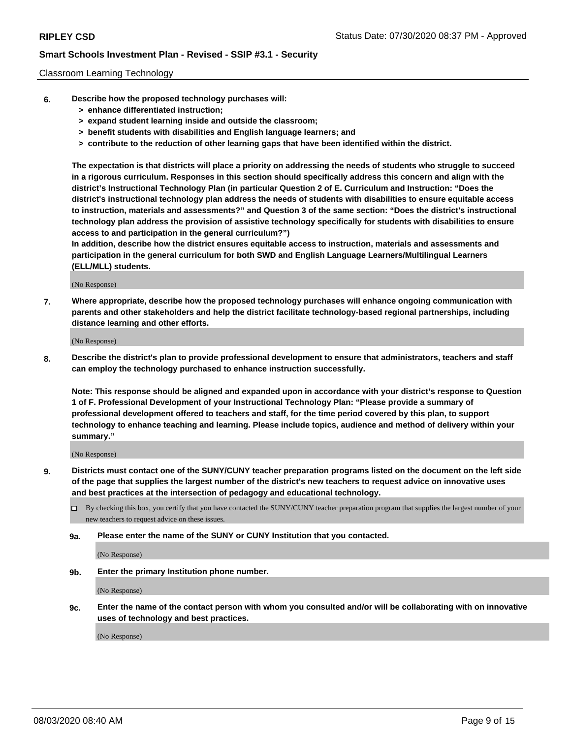### Classroom Learning Technology

- **6. Describe how the proposed technology purchases will:**
	- **> enhance differentiated instruction;**
	- **> expand student learning inside and outside the classroom;**
	- **> benefit students with disabilities and English language learners; and**
	- **> contribute to the reduction of other learning gaps that have been identified within the district.**

**The expectation is that districts will place a priority on addressing the needs of students who struggle to succeed in a rigorous curriculum. Responses in this section should specifically address this concern and align with the district's Instructional Technology Plan (in particular Question 2 of E. Curriculum and Instruction: "Does the district's instructional technology plan address the needs of students with disabilities to ensure equitable access to instruction, materials and assessments?" and Question 3 of the same section: "Does the district's instructional technology plan address the provision of assistive technology specifically for students with disabilities to ensure access to and participation in the general curriculum?")**

**In addition, describe how the district ensures equitable access to instruction, materials and assessments and participation in the general curriculum for both SWD and English Language Learners/Multilingual Learners (ELL/MLL) students.**

(No Response)

**7. Where appropriate, describe how the proposed technology purchases will enhance ongoing communication with parents and other stakeholders and help the district facilitate technology-based regional partnerships, including distance learning and other efforts.**

(No Response)

**8. Describe the district's plan to provide professional development to ensure that administrators, teachers and staff can employ the technology purchased to enhance instruction successfully.**

**Note: This response should be aligned and expanded upon in accordance with your district's response to Question 1 of F. Professional Development of your Instructional Technology Plan: "Please provide a summary of professional development offered to teachers and staff, for the time period covered by this plan, to support technology to enhance teaching and learning. Please include topics, audience and method of delivery within your summary."**

(No Response)

- **9. Districts must contact one of the SUNY/CUNY teacher preparation programs listed on the document on the left side of the page that supplies the largest number of the district's new teachers to request advice on innovative uses and best practices at the intersection of pedagogy and educational technology.**
	- By checking this box, you certify that you have contacted the SUNY/CUNY teacher preparation program that supplies the largest number of your new teachers to request advice on these issues.
	- **9a. Please enter the name of the SUNY or CUNY Institution that you contacted.**

(No Response)

**9b. Enter the primary Institution phone number.**

(No Response)

**9c. Enter the name of the contact person with whom you consulted and/or will be collaborating with on innovative uses of technology and best practices.**

(No Response)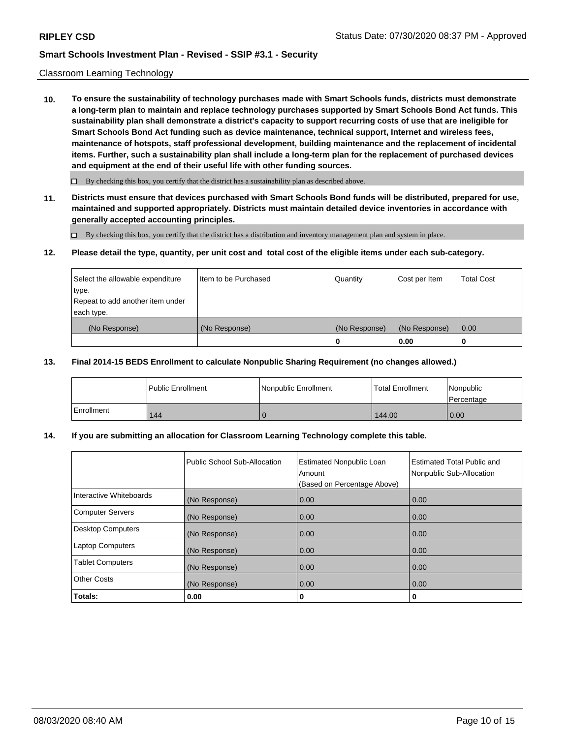### Classroom Learning Technology

**10. To ensure the sustainability of technology purchases made with Smart Schools funds, districts must demonstrate a long-term plan to maintain and replace technology purchases supported by Smart Schools Bond Act funds. This sustainability plan shall demonstrate a district's capacity to support recurring costs of use that are ineligible for Smart Schools Bond Act funding such as device maintenance, technical support, Internet and wireless fees, maintenance of hotspots, staff professional development, building maintenance and the replacement of incidental items. Further, such a sustainability plan shall include a long-term plan for the replacement of purchased devices and equipment at the end of their useful life with other funding sources.**

 $\Box$  By checking this box, you certify that the district has a sustainability plan as described above.

**11. Districts must ensure that devices purchased with Smart Schools Bond funds will be distributed, prepared for use, maintained and supported appropriately. Districts must maintain detailed device inventories in accordance with generally accepted accounting principles.**

By checking this box, you certify that the district has a distribution and inventory management plan and system in place.

#### **12. Please detail the type, quantity, per unit cost and total cost of the eligible items under each sub-category.**

| Select the allowable expenditure<br>type.<br>Repeat to add another item under | Item to be Purchased | Quantity      | Cost per Item | <b>Total Cost</b> |
|-------------------------------------------------------------------------------|----------------------|---------------|---------------|-------------------|
| each type.<br>(No Response)                                                   | (No Response)        | (No Response) | (No Response) | 0.00              |
|                                                                               |                      | 0             | 0.00          |                   |

### **13. Final 2014-15 BEDS Enrollment to calculate Nonpublic Sharing Requirement (no changes allowed.)**

|            | <b>Public Enrollment</b> | Nonpublic Enrollment | <b>Total Enrollment</b> | Nonpublic<br>l Percentage |
|------------|--------------------------|----------------------|-------------------------|---------------------------|
| Enrollment | 144                      |                      | 144.00                  | 0.00                      |

### **14. If you are submitting an allocation for Classroom Learning Technology complete this table.**

|                         | Public School Sub-Allocation | <b>Estimated Nonpublic Loan</b><br>Amount<br>(Based on Percentage Above) | <b>Estimated Total Public and</b><br>Nonpublic Sub-Allocation |
|-------------------------|------------------------------|--------------------------------------------------------------------------|---------------------------------------------------------------|
| Interactive Whiteboards | (No Response)                | 0.00                                                                     | 0.00                                                          |
| Computer Servers        | (No Response)                | 0.00                                                                     | 0.00                                                          |
| Desktop Computers       | (No Response)                | 0.00                                                                     | 0.00                                                          |
| <b>Laptop Computers</b> | (No Response)                | 0.00                                                                     | 0.00                                                          |
| <b>Tablet Computers</b> | (No Response)                | 0.00                                                                     | 0.00                                                          |
| Other Costs             | (No Response)                | 0.00                                                                     | 0.00                                                          |
| Totals:                 | 0.00                         | 0                                                                        | 0                                                             |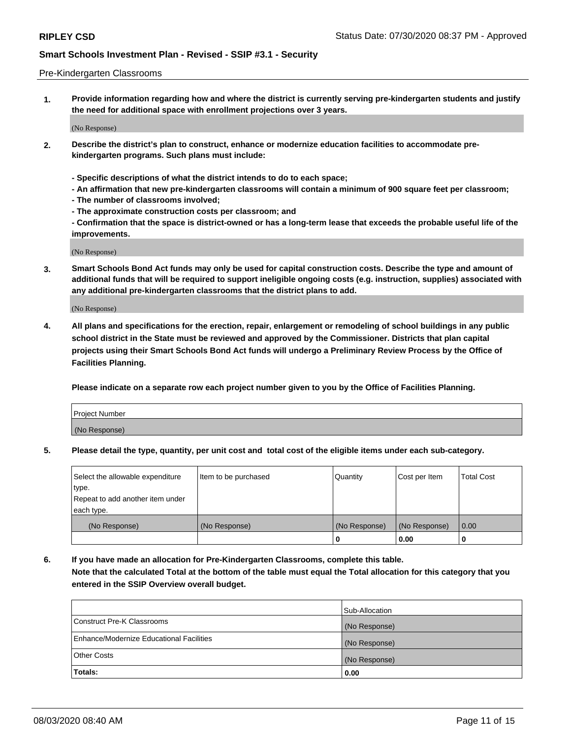#### Pre-Kindergarten Classrooms

**1. Provide information regarding how and where the district is currently serving pre-kindergarten students and justify the need for additional space with enrollment projections over 3 years.**

(No Response)

- **2. Describe the district's plan to construct, enhance or modernize education facilities to accommodate prekindergarten programs. Such plans must include:**
	- **Specific descriptions of what the district intends to do to each space;**
	- **An affirmation that new pre-kindergarten classrooms will contain a minimum of 900 square feet per classroom;**
	- **The number of classrooms involved;**
	- **The approximate construction costs per classroom; and**
	- **Confirmation that the space is district-owned or has a long-term lease that exceeds the probable useful life of the improvements.**

(No Response)

**3. Smart Schools Bond Act funds may only be used for capital construction costs. Describe the type and amount of additional funds that will be required to support ineligible ongoing costs (e.g. instruction, supplies) associated with any additional pre-kindergarten classrooms that the district plans to add.**

(No Response)

**4. All plans and specifications for the erection, repair, enlargement or remodeling of school buildings in any public school district in the State must be reviewed and approved by the Commissioner. Districts that plan capital projects using their Smart Schools Bond Act funds will undergo a Preliminary Review Process by the Office of Facilities Planning.**

**Please indicate on a separate row each project number given to you by the Office of Facilities Planning.**

| Project Number |  |
|----------------|--|
| (No Response)  |  |
|                |  |

**5. Please detail the type, quantity, per unit cost and total cost of the eligible items under each sub-category.**

| Select the allowable expenditure | Item to be purchased | Quantity      | Cost per Item | <b>Total Cost</b> |
|----------------------------------|----------------------|---------------|---------------|-------------------|
| type.                            |                      |               |               |                   |
| Repeat to add another item under |                      |               |               |                   |
| each type.                       |                      |               |               |                   |
| (No Response)                    | (No Response)        | (No Response) | (No Response) | 0.00              |
|                                  |                      | U             | 0.00          |                   |

**6. If you have made an allocation for Pre-Kindergarten Classrooms, complete this table. Note that the calculated Total at the bottom of the table must equal the Total allocation for this category that you entered in the SSIP Overview overall budget.**

| Totals:                                  | 0.00           |
|------------------------------------------|----------------|
| <b>Other Costs</b>                       | (No Response)  |
| Enhance/Modernize Educational Facilities | (No Response)  |
| Construct Pre-K Classrooms               | (No Response)  |
|                                          | Sub-Allocation |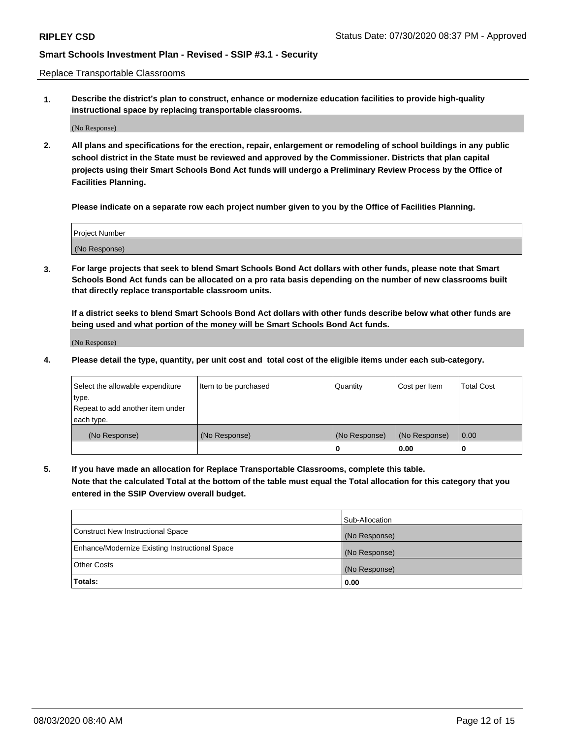Replace Transportable Classrooms

**1. Describe the district's plan to construct, enhance or modernize education facilities to provide high-quality instructional space by replacing transportable classrooms.**

(No Response)

**2. All plans and specifications for the erection, repair, enlargement or remodeling of school buildings in any public school district in the State must be reviewed and approved by the Commissioner. Districts that plan capital projects using their Smart Schools Bond Act funds will undergo a Preliminary Review Process by the Office of Facilities Planning.**

**Please indicate on a separate row each project number given to you by the Office of Facilities Planning.**

| Project Number |  |
|----------------|--|
|                |  |
|                |  |
|                |  |
| (No Response)  |  |
|                |  |
|                |  |

**3. For large projects that seek to blend Smart Schools Bond Act dollars with other funds, please note that Smart Schools Bond Act funds can be allocated on a pro rata basis depending on the number of new classrooms built that directly replace transportable classroom units.**

**If a district seeks to blend Smart Schools Bond Act dollars with other funds describe below what other funds are being used and what portion of the money will be Smart Schools Bond Act funds.**

(No Response)

**4. Please detail the type, quantity, per unit cost and total cost of the eligible items under each sub-category.**

| Select the allowable expenditure | Item to be purchased | Quantity      | Cost per Item | Total Cost |
|----------------------------------|----------------------|---------------|---------------|------------|
| ∣type.                           |                      |               |               |            |
| Repeat to add another item under |                      |               |               |            |
| each type.                       |                      |               |               |            |
| (No Response)                    | (No Response)        | (No Response) | (No Response) | 0.00       |
|                                  |                      | u             | 0.00          |            |

**5. If you have made an allocation for Replace Transportable Classrooms, complete this table. Note that the calculated Total at the bottom of the table must equal the Total allocation for this category that you entered in the SSIP Overview overall budget.**

|                                                | Sub-Allocation |
|------------------------------------------------|----------------|
| Construct New Instructional Space              | (No Response)  |
| Enhance/Modernize Existing Instructional Space | (No Response)  |
| Other Costs                                    | (No Response)  |
| Totals:                                        | 0.00           |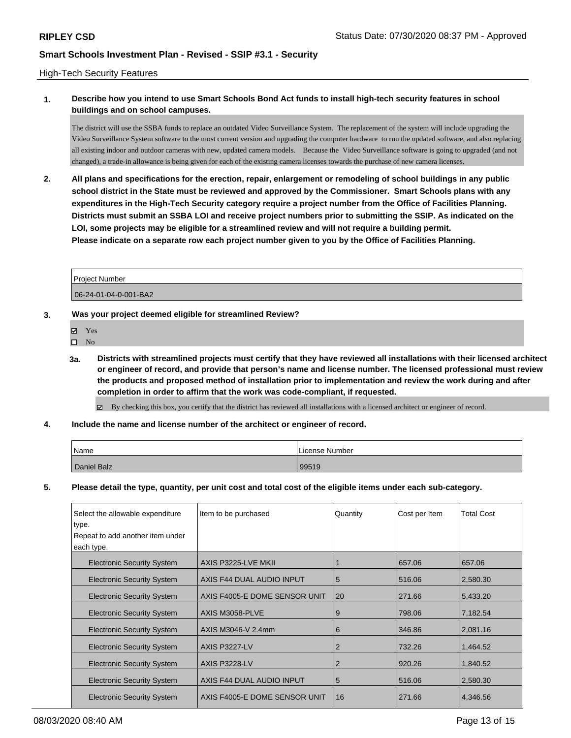### High-Tech Security Features

# **1. Describe how you intend to use Smart Schools Bond Act funds to install high-tech security features in school buildings and on school campuses.**

The district will use the SSBA funds to replace an outdated Video Surveillance System. The replacement of the system will include upgrading the Video Surveillance System software to the most current version and upgrading the computer hardware to run the updated software, and also replacing all existing indoor and outdoor cameras with new, updated camera models. Because the Video Surveillance software is going to upgraded (and not changed), a trade-in allowance is being given for each of the existing camera licenses towards the purchase of new camera licenses.

**2. All plans and specifications for the erection, repair, enlargement or remodeling of school buildings in any public school district in the State must be reviewed and approved by the Commissioner. Smart Schools plans with any expenditures in the High-Tech Security category require a project number from the Office of Facilities Planning. Districts must submit an SSBA LOI and receive project numbers prior to submitting the SSIP. As indicated on the LOI, some projects may be eligible for a streamlined review and will not require a building permit. Please indicate on a separate row each project number given to you by the Office of Facilities Planning.**

| Project Number        |  |
|-----------------------|--|
| 06-24-01-04-0-001-BA2 |  |

### **3. Was your project deemed eligible for streamlined Review?**

- **冈** Yes
- $\hfill \square$  No
- **3a. Districts with streamlined projects must certify that they have reviewed all installations with their licensed architect or engineer of record, and provide that person's name and license number. The licensed professional must review the products and proposed method of installation prior to implementation and review the work during and after completion in order to affirm that the work was code-compliant, if requested.**

By checking this box, you certify that the district has reviewed all installations with a licensed architect or engineer of record.

### **4. Include the name and license number of the architect or engineer of record.**

| 'Name       | License Number |
|-------------|----------------|
| Daniel Balz | 99519          |

### **5. Please detail the type, quantity, per unit cost and total cost of the eligible items under each sub-category.**

| Select the allowable expenditure  | Item to be purchased          | Quantity | Cost per Item | <b>Total Cost</b> |
|-----------------------------------|-------------------------------|----------|---------------|-------------------|
| ∣type.                            |                               |          |               |                   |
| Repeat to add another item under  |                               |          |               |                   |
| each type.                        |                               |          |               |                   |
| <b>Electronic Security System</b> | AXIS P3225-LVE MKII           |          | 657.06        | 657.06            |
| <b>Electronic Security System</b> | AXIS F44 DUAL AUDIO INPUT     | 5        | 516.06        | 2,580.30          |
| <b>Electronic Security System</b> | AXIS F4005-E DOME SENSOR UNIT | 20       | 271.66        | 5,433.20          |
| <b>Electronic Security System</b> | AXIS M3058-PLVE               | 9        | 798.06        | 7,182.54          |
| <b>Electronic Security System</b> | AXIS M3046-V 2.4mm            | 6        | 346.86        | 2,081.16          |
| <b>Electronic Security System</b> | AXIS P3227-LV                 | 2        | 732.26        | 1,464.52          |
| <b>Electronic Security System</b> | AXIS P3228-LV                 | 2        | 920.26        | 1,840.52          |
| <b>Electronic Security System</b> | AXIS F44 DUAL AUDIO INPUT     | 5        | 516.06        | 2,580.30          |
| <b>Electronic Security System</b> | AXIS F4005-E DOME SENSOR UNIT | 16       | 271.66        | 4,346.56          |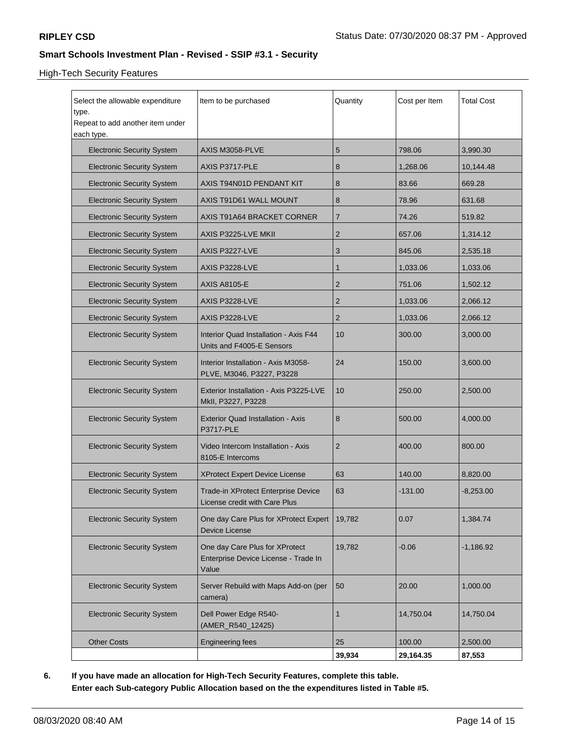# High-Tech Security Features

| Select the allowable expenditure<br>type.<br>Repeat to add another item under<br>each type. | Item to be purchased                                                            | Quantity | Cost per Item | <b>Total Cost</b> |
|---------------------------------------------------------------------------------------------|---------------------------------------------------------------------------------|----------|---------------|-------------------|
| <b>Electronic Security System</b>                                                           | AXIS M3058-PLVE                                                                 | 5        | 798.06        | 3,990.30          |
| <b>Electronic Security System</b>                                                           | AXIS P3717-PLE                                                                  | 8        | 1,268.06      | 10,144.48         |
| <b>Electronic Security System</b>                                                           | AXIS T94N01D PENDANT KIT                                                        | 8        | 83.66         | 669.28            |
| <b>Electronic Security System</b>                                                           | AXIS T91D61 WALL MOUNT                                                          | 8        | 78.96         | 631.68            |
| <b>Electronic Security System</b>                                                           | AXIS T91A64 BRACKET CORNER                                                      | 7        | 74.26         | 519.82            |
| <b>Electronic Security System</b>                                                           | AXIS P3225-LVE MKII                                                             | 2        | 657.06        | 1,314.12          |
| <b>Electronic Security System</b>                                                           | AXIS P3227-LVE                                                                  | 3        | 845.06        | 2,535.18          |
| <b>Electronic Security System</b>                                                           | AXIS P3228-LVE                                                                  | 1        | 1,033.06      | 1,033.06          |
| <b>Electronic Security System</b>                                                           | <b>AXIS A8105-E</b>                                                             | 2        | 751.06        | 1,502.12          |
| <b>Electronic Security System</b>                                                           | AXIS P3228-LVE                                                                  | 2        | 1,033.06      | 2,066.12          |
| <b>Electronic Security System</b>                                                           | AXIS P3228-LVE                                                                  | 2        | 1,033.06      | 2,066.12          |
| <b>Electronic Security System</b>                                                           | Interior Quad Installation - Axis F44<br>Units and F4005-E Sensors              | 10       | 300.00        | 3,000.00          |
| <b>Electronic Security System</b>                                                           | Interior Installation - Axis M3058-<br>PLVE, M3046, P3227, P3228                | 24       | 150.00        | 3,600.00          |
| <b>Electronic Security System</b>                                                           | Exterior Installation - Axis P3225-LVE<br>MkII, P3227, P3228                    | 10       | 250.00        | 2,500.00          |
| <b>Electronic Security System</b>                                                           | <b>Exterior Quad Installation - Axis</b><br><b>P3717-PLE</b>                    | 8        | 500.00        | 4,000.00          |
| <b>Electronic Security System</b>                                                           | Video Intercom Installation - Axis<br>8105-E Intercoms                          | 2        | 400.00        | 800.00            |
| <b>Electronic Security System</b>                                                           | <b>XProtect Expert Device License</b>                                           | 63       | 140.00        | 8,820.00          |
| <b>Electronic Security System</b>                                                           | Trade-in XProtect Enterprise Device<br>License credit with Care Plus            | 63       | $-131.00$     | $-8,253.00$       |
| <b>Electronic Security System</b>                                                           | One day Care Plus for XProtect Expert<br>Device License                         | 19,782   | 0.07          | 1,384.74          |
| <b>Electronic Security System</b>                                                           | One day Care Plus for XProtect<br>Enterprise Device License - Trade In<br>Value | 19,782   | $-0.06$       | $-1,186.92$       |
| <b>Electronic Security System</b>                                                           | Server Rebuild with Maps Add-on (per<br>camera)                                 | 50       | 20.00         | 1,000.00          |
| <b>Electronic Security System</b>                                                           | Dell Power Edge R540-<br>(AMER_R540_12425)                                      | 1        | 14,750.04     | 14,750.04         |
| <b>Other Costs</b>                                                                          | <b>Engineering fees</b>                                                         | 25       | 100.00        | 2,500.00          |
|                                                                                             |                                                                                 | 39,934   | 29,164.35     | 87,553            |

**6. If you have made an allocation for High-Tech Security Features, complete this table. Enter each Sub-category Public Allocation based on the the expenditures listed in Table #5.**